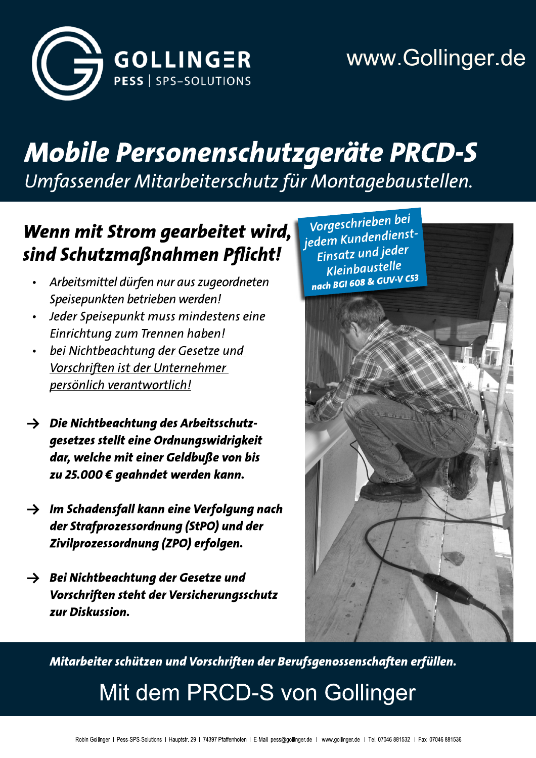

# **Mobile Personenschutzgeräte PRCD-S**

Umfassender Mitarbeiterschutz für Montagebaustellen.

## Wenn mit Strom gearbeitet wird, sind Schutzmaßnahmen Pflicht!

- Arbeitsmittel dürfen nur aus zugeordneten Speisepunkten betrieben werden!
- Jeder Speisepunkt muss mindestens eine Einrichtung zum Trennen haben!
- bei Nichtbeachtung der Gesetze und Vorschriften ist der Unternehmer persönlich verantwortlich!
- $\rightarrow$  Die Nichtbeachtung des Arbeitsschutzgesetzes stellt eine Ordnungswidrigkeit dar, welche mit einer Geldbuße von bis zu 25.000 € geahndet werden kann.
- $\rightarrow$  Im Schadensfall kann eine Verfolgung nach der Strafprozessordnung (StPO) und der Zivilprozessordnung (ZPO) erfolgen.
- $\rightarrow$  Bei Nichtbeachtung der Gesetze und Vorschriften steht der Versicherungsschutz zur Diskussion.



Mitarbeiter schützen und Vorschriften der Berufsgenossenschaften erfüllen.

Mit dem PRCD-S von Gollinger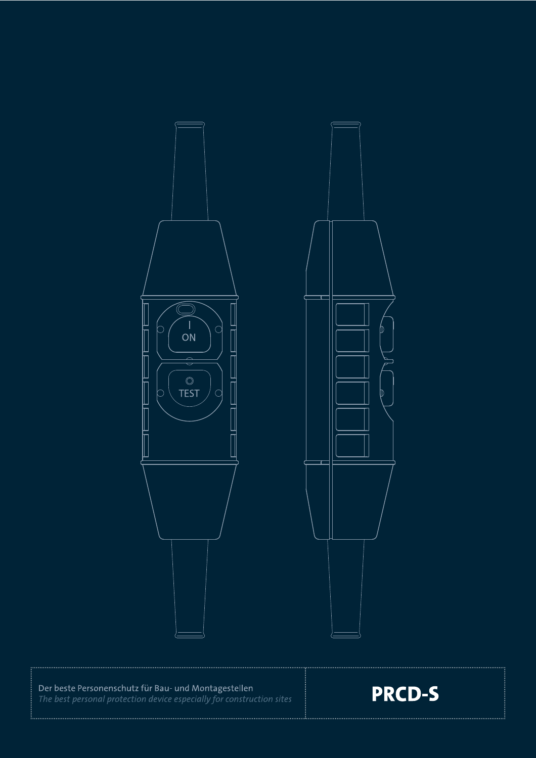

Der beste Personenschutz für Bau- und Montagestellen<br>The best personal protection device especially for construction sites

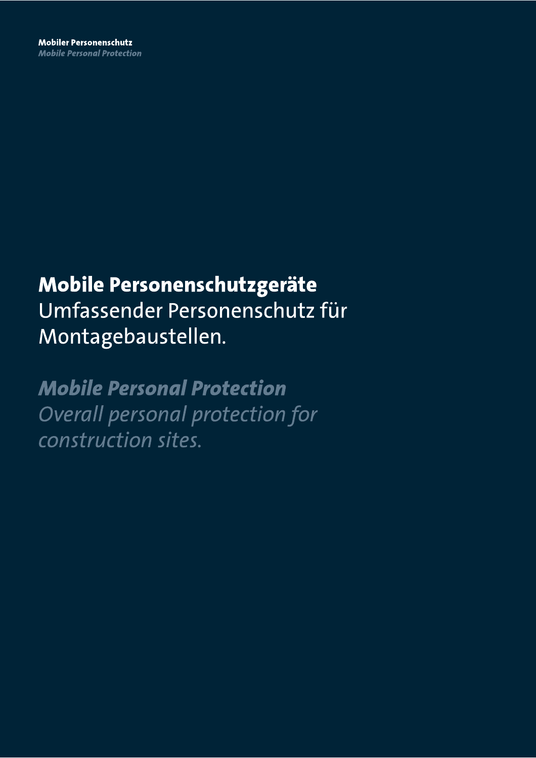# Mobile Personenschutzgeräte Umfassender Personenschutz für Montagebaustellen.

**Mobile Personal Protection** Overall personal protection for construction sites.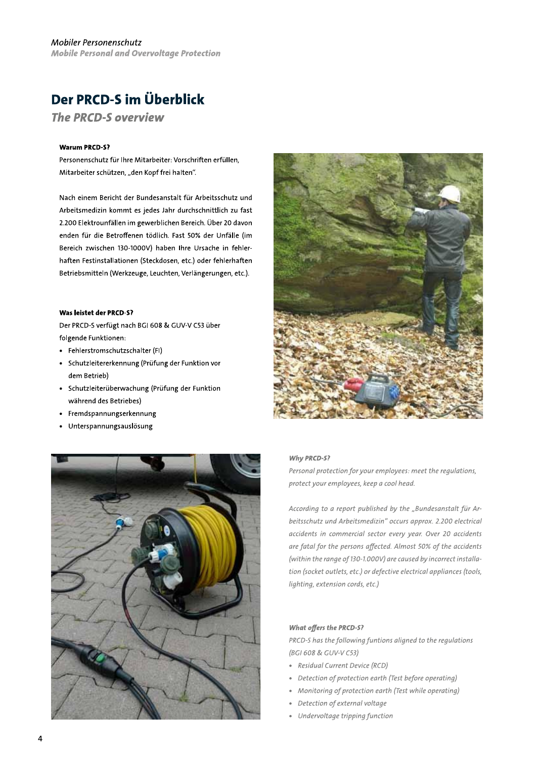### Der PRCD-S im Überblick

**The PRCD-S overview** 

#### **Warum PRCD-S?**

Personenschutz für Ihre Mitarbeiter: Vorschriften erfüllen. Mitarbeiter schützen, "den Kopf frei halten".

Nach einem Bericht der Bundesanstalt für Arbeitsschutz und Arbeitsmedizin kommt es jedes Jahr durchschnittlich zu fast 2.200 Elektrounfällen im gewerblichen Bereich. Über 20 davon enden für die Betroffenen tödlich. Fast 50% der Unfälle (im Bereich zwischen 130-1000V) haben Ihre Ursache in fehlerhaften Festinstallationen (Steckdosen, etc.) oder fehlerhaften Betriebsmitteln (Werkzeuge, Leuchten, Verlängerungen, etc.).

#### Was leistet der PRCD-S?

Der PRCD-S verfügt nach BGI 608 & GUV-V C53 über folgende Funktionen:

- Fehlerstromschutzschalter (FI)
- Schutzleitererkennung (Prüfung der Funktion vor dem Betrieb)
- Schutzleiterüberwachung (Prüfung der Funktion während des Betriebes)
- Fremdspannungserkennung
- Unterspannungsauslösung  $\bullet$





#### Why PRCD-S?

Personal protection for your employees: meet the regulations, protect your employees, keep a cool head.

According to a report published by the "Bundesanstalt für Arbeitsschutz und Arbeitsmedizin" occurs approx. 2.200 electrical accidents in commercial sector every year. Over 20 accidents are fatal for the persons affected. Almost 50% of the accidents (within the range of 130-1.000V) are caused by incorrect installation (socket outlets, etc.) or defective electrical appliances (tools, lighting, extension cords, etc.)

#### **What offers the PRCD-S?**

PRCD-S has the following funtions aligned to the regulations (BGI 608 & GUV-V C53)

- · Residual Current Device (RCD)
- Detection of protection earth (Test before operating)
- Monitoring of protection earth (Test while operating)
- Detection of external voltage
- Undervoltage tripping function